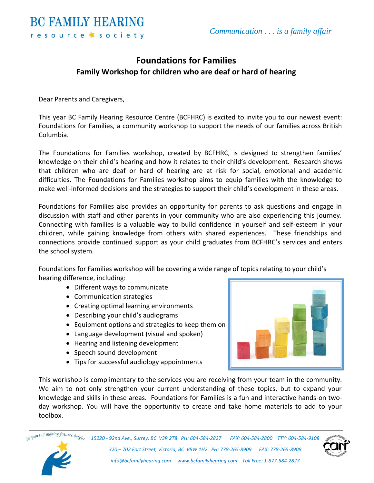## **Foundations for Families Family Workshop for children who are deaf or hard of hearing**

Dear Parents and Caregivers,

This year BC Family Hearing Resource Centre (BCFHRC) is excited to invite you to our newest event: Foundations for Families, a community workshop to support the needs of our families across British Columbia.

The Foundations for Families workshop, created by BCFHRC, is designed to strengthen families' knowledge on their child's hearing and how it relates to their child's development. Research shows that children who are deaf or hard of hearing are at risk for social, emotional and academic difficulties. The Foundations for Families workshop aims to equip families with the knowledge to make well-informed decisions and the strategies to support their child's development in these areas.

Foundations for Families also provides an opportunity for parents to ask questions and engage in discussion with staff and other parents in your community who are also experiencing this journey. Connecting with families is a valuable way to build confidence in yourself and self-esteem in your children, while gaining knowledge from others with shared experiences. These friendships and connections provide continued support as your child graduates from BCFHRC's services and enters the school system.

Foundations for Families workshop will be covering a wide range of topics relating to your child's hearing difference, including:

- Different ways to communicate
- Communication strategies
- Creating optimal learning environments
- Describing your child's audiograms
- Equipment options and strategies to keep them on
- Language development (visual and spoken)
- Hearing and listening development
- Speech sound development
- Tips for successful audiology appointments



This workshop is complimentary to the services you are receiving from your team in the community. We aim to not only strengthen your current understanding of these topics, but to expand your knowledge and skills in these areas. Foundations for Families is a fun and interactive hands-on twoday workshop. You will have the opportunity to create and take home materials to add to your toolbox.